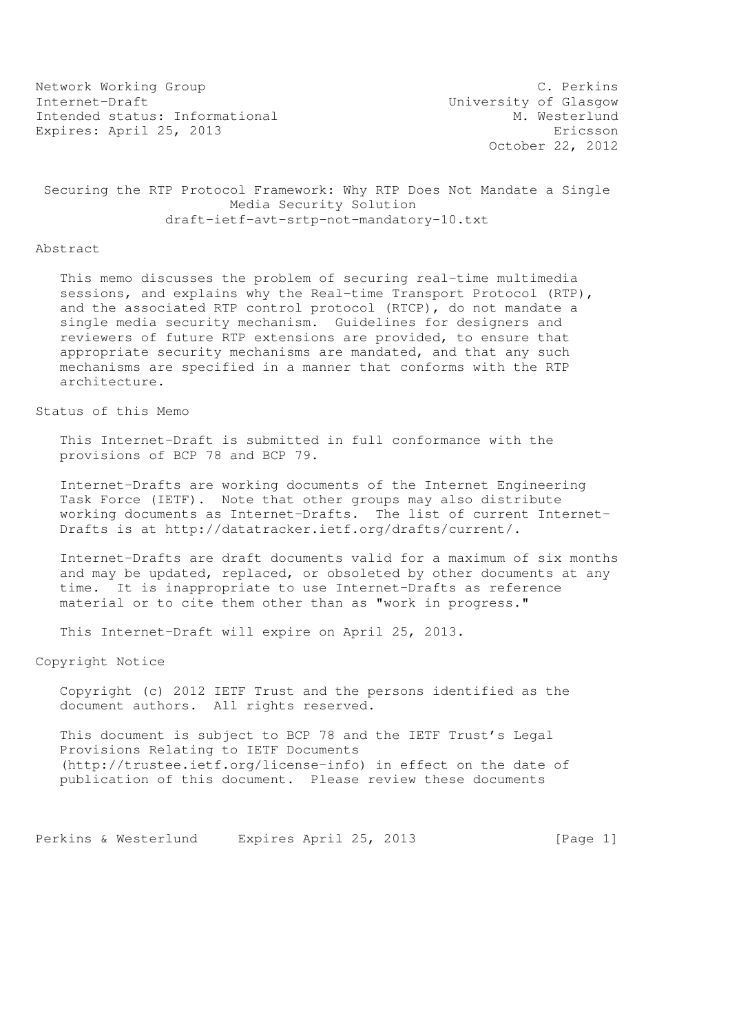Network Working Group C. Perkins Internet-Draft<br>
Intended status: Informational M. Westerlund Intended status: Informational Expires: April 25, 2013 Expires: Expires: April 25, 2013

October 22, 2012

### Securing the RTP Protocol Framework: Why RTP Does Not Mandate a Single Media Security Solution draft-ietf-avt-srtp-not-mandatory-10.txt

#### Abstract

 This memo discusses the problem of securing real-time multimedia sessions, and explains why the Real-time Transport Protocol (RTP), and the associated RTP control protocol (RTCP), do not mandate a single media security mechanism. Guidelines for designers and reviewers of future RTP extensions are provided, to ensure that appropriate security mechanisms are mandated, and that any such mechanisms are specified in a manner that conforms with the RTP architecture.

# Status of this Memo

 This Internet-Draft is submitted in full conformance with the provisions of BCP 78 and BCP 79.

 Internet-Drafts are working documents of the Internet Engineering Task Force (IETF). Note that other groups may also distribute working documents as Internet-Drafts. The list of current Internet- Drafts is at http://datatracker.ietf.org/drafts/current/.

 Internet-Drafts are draft documents valid for a maximum of six months and may be updated, replaced, or obsoleted by other documents at any time. It is inappropriate to use Internet-Drafts as reference material or to cite them other than as "work in progress."

This Internet-Draft will expire on April 25, 2013.

Copyright Notice

 Copyright (c) 2012 IETF Trust and the persons identified as the document authors. All rights reserved.

 This document is subject to BCP 78 and the IETF Trust's Legal Provisions Relating to IETF Documents (http://trustee.ietf.org/license-info) in effect on the date of publication of this document. Please review these documents

Perkins & Westerlund Expires April 25, 2013 [Page 1]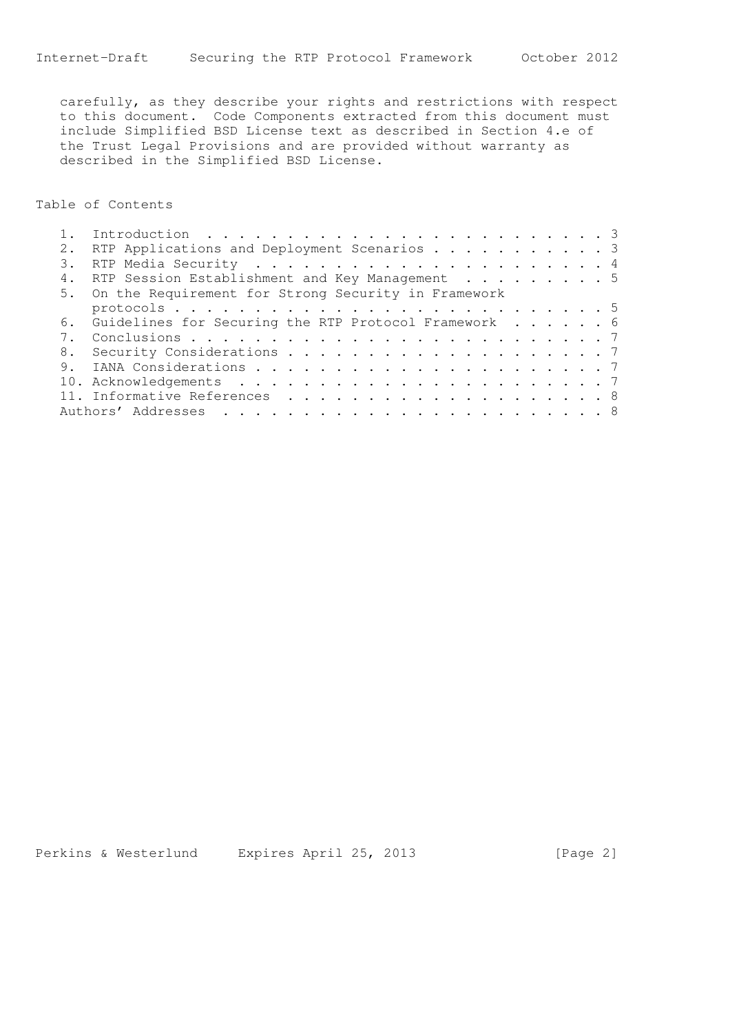carefully, as they describe your rights and restrictions with respect to this document. Code Components extracted from this document must include Simplified BSD License text as described in Section 4.e of the Trust Legal Provisions and are provided without warranty as described in the Simplified BSD License.

Table of Contents

|  | RTP Applications and Deployment Scenarios 3             |
|--|---------------------------------------------------------|
|  |                                                         |
|  | RTP Session Establishment and Key Management 5          |
|  | 5. On the Requirement for Strong Security in Framework  |
|  |                                                         |
|  | 6. Guidelines for Securing the RTP Protocol Framework 6 |
|  |                                                         |
|  |                                                         |
|  |                                                         |
|  |                                                         |
|  |                                                         |
|  |                                                         |

Perkins & Westerlund Expires April 25, 2013 [Page 2]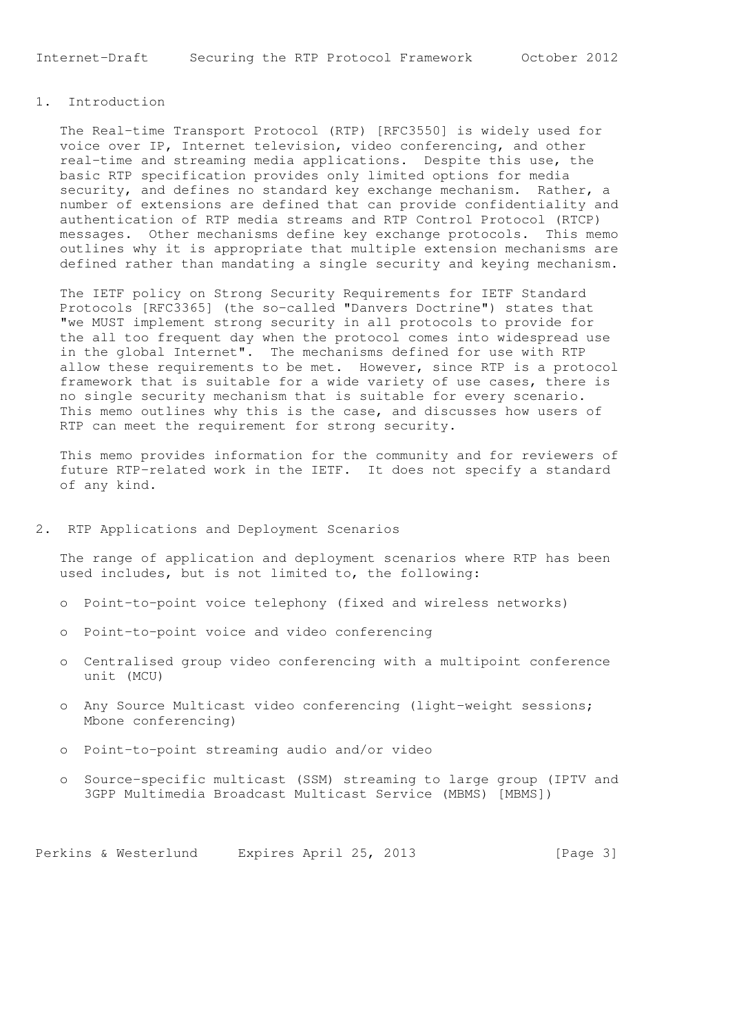Internet-Draft Securing the RTP Protocol Framework October 2012

# 1. Introduction

 The Real-time Transport Protocol (RTP) [RFC3550] is widely used for voice over IP, Internet television, video conferencing, and other real-time and streaming media applications. Despite this use, the basic RTP specification provides only limited options for media security, and defines no standard key exchange mechanism. Rather, a number of extensions are defined that can provide confidentiality and authentication of RTP media streams and RTP Control Protocol (RTCP) messages. Other mechanisms define key exchange protocols. This memo outlines why it is appropriate that multiple extension mechanisms are defined rather than mandating a single security and keying mechanism.

 The IETF policy on Strong Security Requirements for IETF Standard Protocols [RFC3365] (the so-called "Danvers Doctrine") states that "we MUST implement strong security in all protocols to provide for the all too frequent day when the protocol comes into widespread use in the global Internet". The mechanisms defined for use with RTP allow these requirements to be met. However, since RTP is a protocol framework that is suitable for a wide variety of use cases, there is no single security mechanism that is suitable for every scenario. This memo outlines why this is the case, and discusses how users of RTP can meet the requirement for strong security.

 This memo provides information for the community and for reviewers of future RTP-related work in the IETF. It does not specify a standard of any kind.

### 2. RTP Applications and Deployment Scenarios

 The range of application and deployment scenarios where RTP has been used includes, but is not limited to, the following:

- o Point-to-point voice telephony (fixed and wireless networks)
- o Point-to-point voice and video conferencing
- o Centralised group video conferencing with a multipoint conference unit (MCU)
- o Any Source Multicast video conferencing (light-weight sessions; Mbone conferencing)
- o Point-to-point streaming audio and/or video
- o Source-specific multicast (SSM) streaming to large group (IPTV and 3GPP Multimedia Broadcast Multicast Service (MBMS) [MBMS])

Perkins & Westerlund Expires April 25, 2013 [Page 3]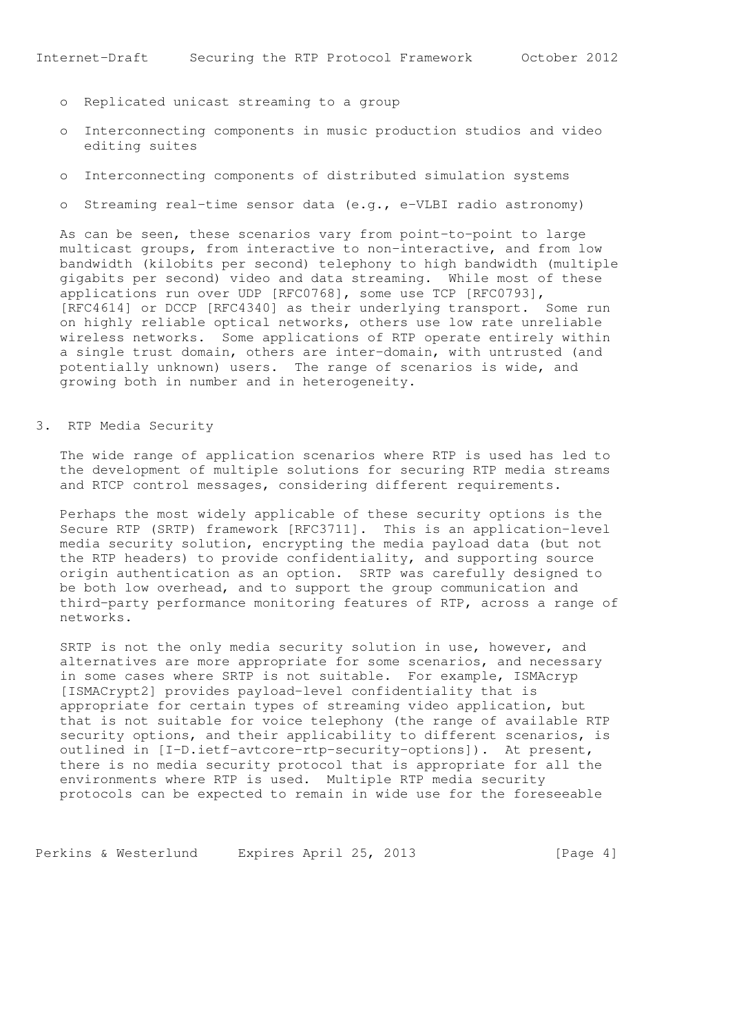- o Replicated unicast streaming to a group
- o Interconnecting components in music production studios and video editing suites
- o Interconnecting components of distributed simulation systems
- o Streaming real-time sensor data (e.g., e-VLBI radio astronomy)

 As can be seen, these scenarios vary from point-to-point to large multicast groups, from interactive to non-interactive, and from low bandwidth (kilobits per second) telephony to high bandwidth (multiple gigabits per second) video and data streaming. While most of these applications run over UDP [RFC0768], some use TCP [RFC0793], [RFC4614] or DCCP [RFC4340] as their underlying transport. Some run on highly reliable optical networks, others use low rate unreliable wireless networks. Some applications of RTP operate entirely within a single trust domain, others are inter-domain, with untrusted (and potentially unknown) users. The range of scenarios is wide, and growing both in number and in heterogeneity.

### 3. RTP Media Security

 The wide range of application scenarios where RTP is used has led to the development of multiple solutions for securing RTP media streams and RTCP control messages, considering different requirements.

 Perhaps the most widely applicable of these security options is the Secure RTP (SRTP) framework [RFC3711]. This is an application-level media security solution, encrypting the media payload data (but not the RTP headers) to provide confidentiality, and supporting source origin authentication as an option. SRTP was carefully designed to be both low overhead, and to support the group communication and third-party performance monitoring features of RTP, across a range of networks.

 SRTP is not the only media security solution in use, however, and alternatives are more appropriate for some scenarios, and necessary in some cases where SRTP is not suitable. For example, ISMAcryp [ISMACrypt2] provides payload-level confidentiality that is appropriate for certain types of streaming video application, but that is not suitable for voice telephony (the range of available RTP security options, and their applicability to different scenarios, is outlined in [I-D.ietf-avtcore-rtp-security-options]). At present, there is no media security protocol that is appropriate for all the environments where RTP is used. Multiple RTP media security protocols can be expected to remain in wide use for the foreseeable

Perkins & Westerlund Expires April 25, 2013 [Page 4]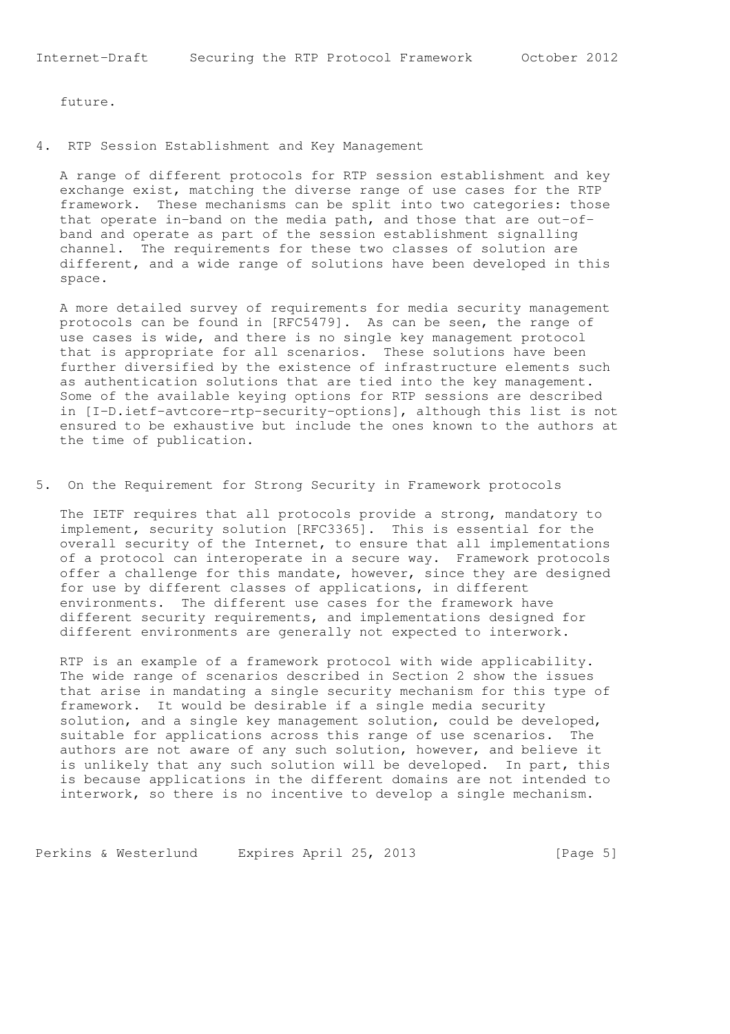future.

4. RTP Session Establishment and Key Management

 A range of different protocols for RTP session establishment and key exchange exist, matching the diverse range of use cases for the RTP framework. These mechanisms can be split into two categories: those that operate in-band on the media path, and those that are out-of band and operate as part of the session establishment signalling channel. The requirements for these two classes of solution are different, and a wide range of solutions have been developed in this space.

 A more detailed survey of requirements for media security management protocols can be found in [RFC5479]. As can be seen, the range of use cases is wide, and there is no single key management protocol that is appropriate for all scenarios. These solutions have been further diversified by the existence of infrastructure elements such as authentication solutions that are tied into the key management. Some of the available keying options for RTP sessions are described in [I-D.ietf-avtcore-rtp-security-options], although this list is not ensured to be exhaustive but include the ones known to the authors at the time of publication.

5. On the Requirement for Strong Security in Framework protocols

 The IETF requires that all protocols provide a strong, mandatory to implement, security solution [RFC3365]. This is essential for the overall security of the Internet, to ensure that all implementations of a protocol can interoperate in a secure way. Framework protocols offer a challenge for this mandate, however, since they are designed for use by different classes of applications, in different environments. The different use cases for the framework have different security requirements, and implementations designed for different environments are generally not expected to interwork.

 RTP is an example of a framework protocol with wide applicability. The wide range of scenarios described in Section 2 show the issues that arise in mandating a single security mechanism for this type of framework. It would be desirable if a single media security solution, and a single key management solution, could be developed, suitable for applications across this range of use scenarios. The authors are not aware of any such solution, however, and believe it is unlikely that any such solution will be developed. In part, this is because applications in the different domains are not intended to interwork, so there is no incentive to develop a single mechanism.

Perkins & Westerlund Expires April 25, 2013 [Page 5]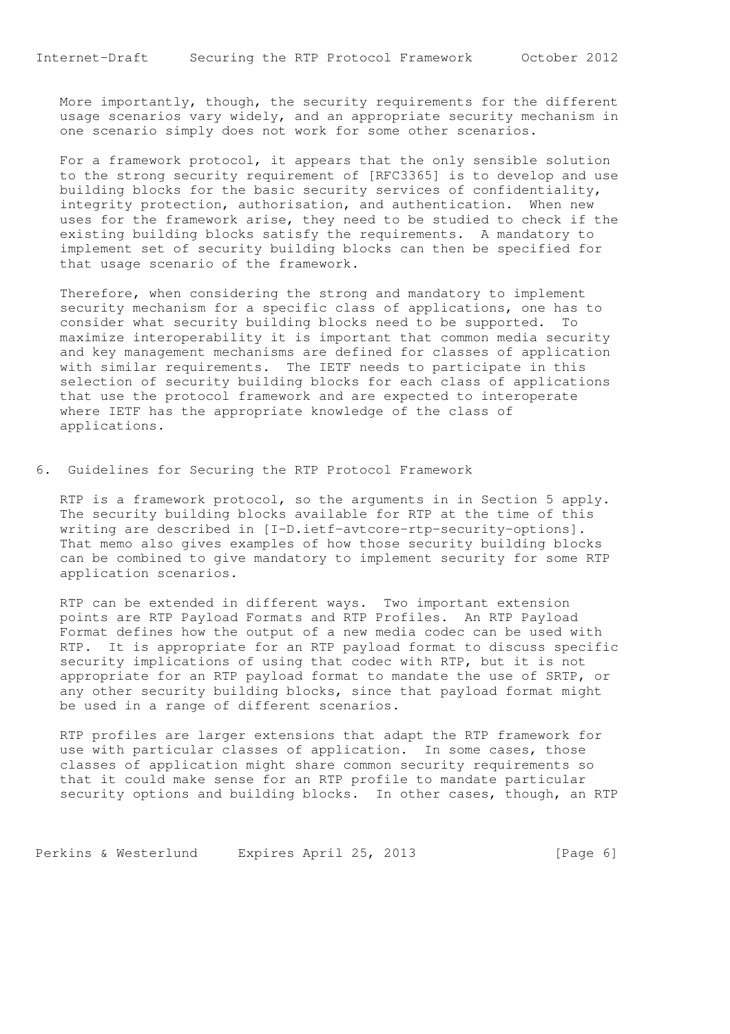More importantly, though, the security requirements for the different usage scenarios vary widely, and an appropriate security mechanism in one scenario simply does not work for some other scenarios.

 For a framework protocol, it appears that the only sensible solution to the strong security requirement of [RFC3365] is to develop and use building blocks for the basic security services of confidentiality, integrity protection, authorisation, and authentication. When new uses for the framework arise, they need to be studied to check if the existing building blocks satisfy the requirements. A mandatory to implement set of security building blocks can then be specified for that usage scenario of the framework.

 Therefore, when considering the strong and mandatory to implement security mechanism for a specific class of applications, one has to consider what security building blocks need to be supported. To maximize interoperability it is important that common media security and key management mechanisms are defined for classes of application with similar requirements. The IETF needs to participate in this selection of security building blocks for each class of applications that use the protocol framework and are expected to interoperate where IETF has the appropriate knowledge of the class of applications.

6. Guidelines for Securing the RTP Protocol Framework

 RTP is a framework protocol, so the arguments in in Section 5 apply. The security building blocks available for RTP at the time of this writing are described in [I-D.ietf-avtcore-rtp-security-options]. That memo also gives examples of how those security building blocks can be combined to give mandatory to implement security for some RTP application scenarios.

 RTP can be extended in different ways. Two important extension points are RTP Payload Formats and RTP Profiles. An RTP Payload Format defines how the output of a new media codec can be used with RTP. It is appropriate for an RTP payload format to discuss specific security implications of using that codec with RTP, but it is not appropriate for an RTP payload format to mandate the use of SRTP, or any other security building blocks, since that payload format might be used in a range of different scenarios.

 RTP profiles are larger extensions that adapt the RTP framework for use with particular classes of application. In some cases, those classes of application might share common security requirements so that it could make sense for an RTP profile to mandate particular security options and building blocks. In other cases, though, an RTP

Perkins & Westerlund Expires April 25, 2013 [Page 6]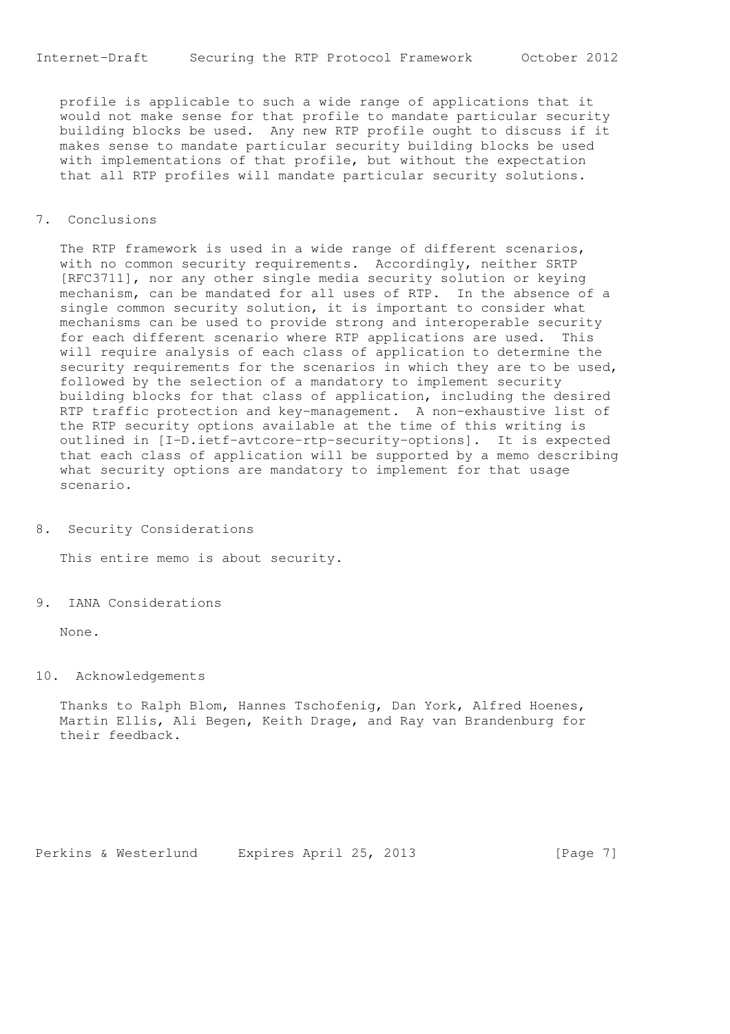profile is applicable to such a wide range of applications that it would not make sense for that profile to mandate particular security building blocks be used. Any new RTP profile ought to discuss if it makes sense to mandate particular security building blocks be used with implementations of that profile, but without the expectation that all RTP profiles will mandate particular security solutions.

### 7. Conclusions

 The RTP framework is used in a wide range of different scenarios, with no common security requirements. Accordingly, neither SRTP [RFC3711], nor any other single media security solution or keying mechanism, can be mandated for all uses of RTP. In the absence of a single common security solution, it is important to consider what mechanisms can be used to provide strong and interoperable security for each different scenario where RTP applications are used. This will require analysis of each class of application to determine the security requirements for the scenarios in which they are to be used, followed by the selection of a mandatory to implement security building blocks for that class of application, including the desired RTP traffic protection and key-management. A non-exhaustive list of the RTP security options available at the time of this writing is outlined in [I-D.ietf-avtcore-rtp-security-options]. It is expected that each class of application will be supported by a memo describing what security options are mandatory to implement for that usage scenario.

8. Security Considerations

This entire memo is about security.

9. IANA Considerations

None.

#### 10. Acknowledgements

 Thanks to Ralph Blom, Hannes Tschofenig, Dan York, Alfred Hoenes, Martin Ellis, Ali Begen, Keith Drage, and Ray van Brandenburg for their feedback.

Perkins & Westerlund Expires April 25, 2013 [Page 7]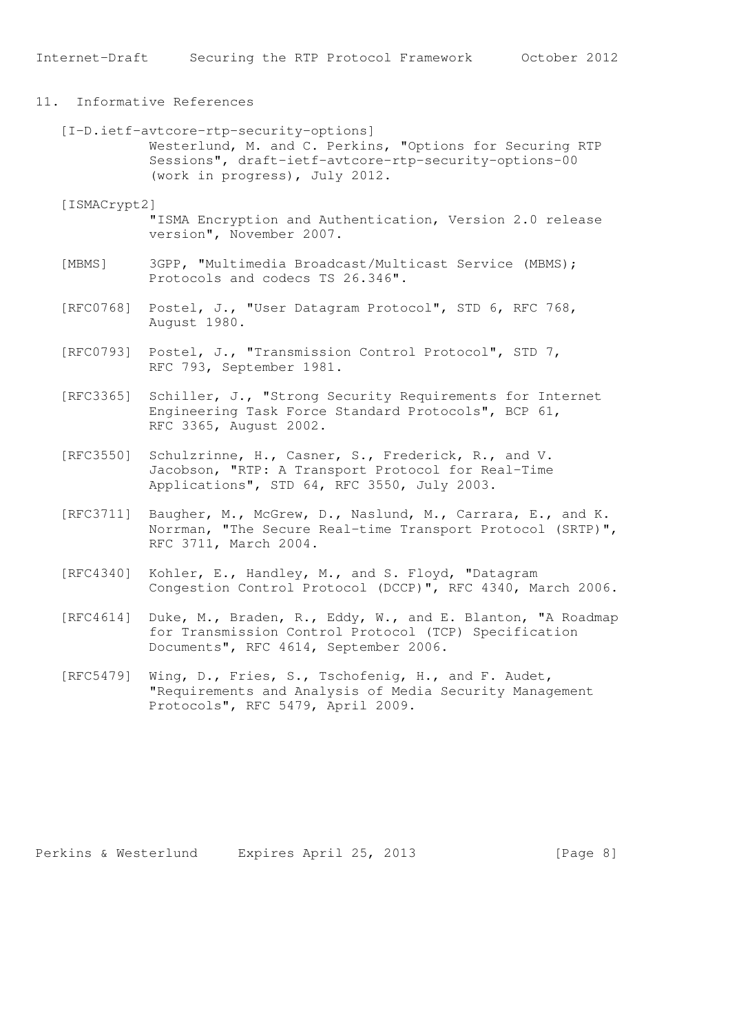# 11. Informative References

 [I-D.ietf-avtcore-rtp-security-options] Westerlund, M. and C. Perkins, "Options for Securing RTP Sessions", draft-ietf-avtcore-rtp-security-options-00 (work in progress), July 2012.

#### [ISMACrypt2]

 "ISMA Encryption and Authentication, Version 2.0 release version", November 2007.

- [MBMS] 3GPP, "Multimedia Broadcast/Multicast Service (MBMS); Protocols and codecs TS 26.346".
- [RFC0768] Postel, J., "User Datagram Protocol", STD 6, RFC 768, August 1980.
- [RFC0793] Postel, J., "Transmission Control Protocol", STD 7, RFC 793, September 1981.
- [RFC3365] Schiller, J., "Strong Security Requirements for Internet Engineering Task Force Standard Protocols", BCP 61, RFC 3365, August 2002.
- [RFC3550] Schulzrinne, H., Casner, S., Frederick, R., and V. Jacobson, "RTP: A Transport Protocol for Real-Time Applications", STD 64, RFC 3550, July 2003.
- [RFC3711] Baugher, M., McGrew, D., Naslund, M., Carrara, E., and K. Norrman, "The Secure Real-time Transport Protocol (SRTP)", RFC 3711, March 2004.
- [RFC4340] Kohler, E., Handley, M., and S. Floyd, "Datagram Congestion Control Protocol (DCCP)", RFC 4340, March 2006.
- [RFC4614] Duke, M., Braden, R., Eddy, W., and E. Blanton, "A Roadmap for Transmission Control Protocol (TCP) Specification Documents", RFC 4614, September 2006.
- [RFC5479] Wing, D., Fries, S., Tschofenig, H., and F. Audet, "Requirements and Analysis of Media Security Management Protocols", RFC 5479, April 2009.

Perkins & Westerlund Expires April 25, 2013 [Page 8]